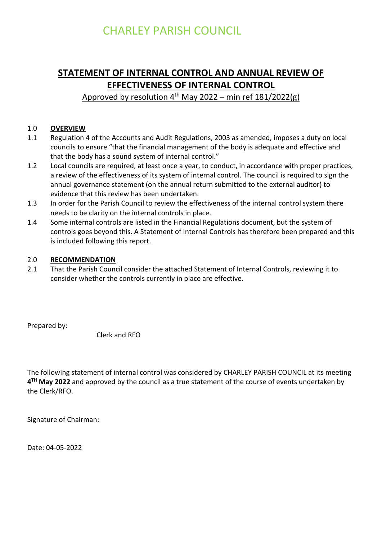# **STATEMENT OF INTERNAL CONTROL AND ANNUAL REVIEW OF EFFECTIVENESS OF INTERNAL CONTROL**

# Approved by resolution  $4<sup>th</sup>$  May 2022 – min ref 181/2022(g)

# 1.0 **OVERVIEW**

- 1.1 Regulation 4 of the Accounts and Audit Regulations, 2003 as amended, imposes a duty on local councils to ensure "that the financial management of the body is adequate and effective and that the body has a sound system of internal control."
- 1.2 Local councils are required, at least once a year, to conduct, in accordance with proper practices, a review of the effectiveness of its system of internal control. The council is required to sign the annual governance statement (on the annual return submitted to the external auditor) to evidence that this review has been undertaken.
- 1.3 In order for the Parish Council to review the effectiveness of the internal control system there needs to be clarity on the internal controls in place.
- 1.4 Some internal controls are listed in the Financial Regulations document, but the system of controls goes beyond this. A Statement of Internal Controls has therefore been prepared and this is included following this report.

#### 2.0 **RECOMMENDATION**

2.1 That the Parish Council consider the attached Statement of Internal Controls, reviewing it to consider whether the controls currently in place are effective.

Prepared by:

Clerk and RFO

The following statement of internal control was considered by CHARLEY PARISH COUNCIL at its meeting **4 TH May 2022** and approved by the council as a true statement of the course of events undertaken by the Clerk/RFO.

Signature of Chairman:

Date: 04-05-2022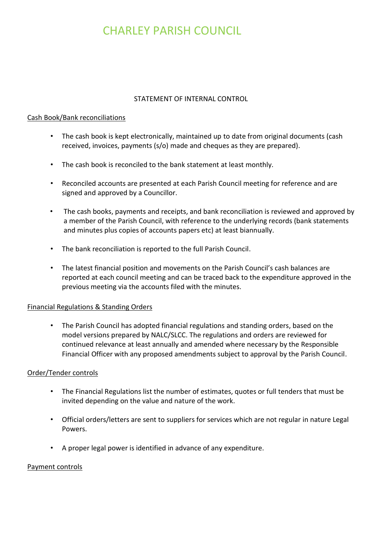### STATEMENT OF INTERNAL CONTROL

### Cash Book/Bank reconciliations

- The cash book is kept electronically, maintained up to date from original documents (cash received, invoices, payments (s/o) made and cheques as they are prepared).
- The cash book is reconciled to the bank statement at least monthly.
- Reconciled accounts are presented at each Parish Council meeting for reference and are signed and approved by a Councillor.
- The cash books, payments and receipts, and bank reconciliation is reviewed and approved by a member of the Parish Council, with reference to the underlying records (bank statements and minutes plus copies of accounts papers etc) at least biannually.
- The bank reconciliation is reported to the full Parish Council.
- The latest financial position and movements on the Parish Council's cash balances are reported at each council meeting and can be traced back to the expenditure approved in the previous meeting via the accounts filed with the minutes.

# Financial Regulations & Standing Orders

• The Parish Council has adopted financial regulations and standing orders, based on the model versions prepared by NALC/SLCC. The regulations and orders are reviewed for continued relevance at least annually and amended where necessary by the Responsible Financial Officer with any proposed amendments subject to approval by the Parish Council.

# Order/Tender controls

- The Financial Regulations list the number of estimates, quotes or full tenders that must be invited depending on the value and nature of the work.
- Official orders/letters are sent to suppliers for services which are not regular in nature Legal Powers.
- A proper legal power is identified in advance of any expenditure.

#### Payment controls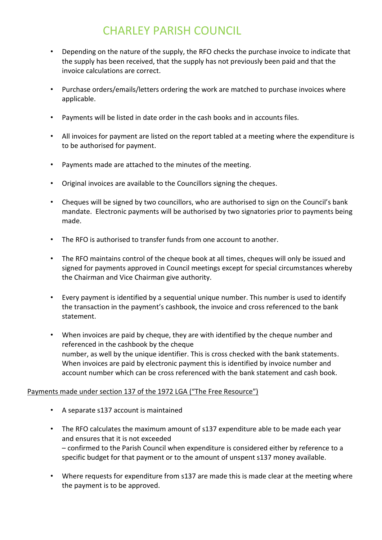- Depending on the nature of the supply, the RFO checks the purchase invoice to indicate that the supply has been received, that the supply has not previously been paid and that the invoice calculations are correct.
- Purchase orders/emails/letters ordering the work are matched to purchase invoices where applicable.
- Payments will be listed in date order in the cash books and in accounts files.
- All invoices for payment are listed on the report tabled at a meeting where the expenditure is to be authorised for payment.
- Payments made are attached to the minutes of the meeting.
- Original invoices are available to the Councillors signing the cheques.
- Cheques will be signed by two councillors, who are authorised to sign on the Council's bank mandate. Electronic payments will be authorised by two signatories prior to payments being made.
- The RFO is authorised to transfer funds from one account to another.
- The RFO maintains control of the cheque book at all times, cheques will only be issued and signed for payments approved in Council meetings except for special circumstances whereby the Chairman and Vice Chairman give authority.
- Every payment is identified by a sequential unique number. This number is used to identify the transaction in the payment's cashbook, the invoice and cross referenced to the bank statement.
- When invoices are paid by cheque, they are with identified by the cheque number and referenced in the cashbook by the cheque number, as well by the unique identifier. This is cross checked with the bank statements. When invoices are paid by electronic payment this is identified by invoice number and account number which can be cross referenced with the bank statement and cash book.

# Payments made under section 137 of the 1972 LGA ("The Free Resource")

- A separate s137 account is maintained
- The RFO calculates the maximum amount of s137 expenditure able to be made each year and ensures that it is not exceeded – confirmed to the Parish Council when expenditure is considered either by reference to a specific budget for that payment or to the amount of unspent s137 money available.
- Where requests for expenditure from s137 are made this is made clear at the meeting where the payment is to be approved.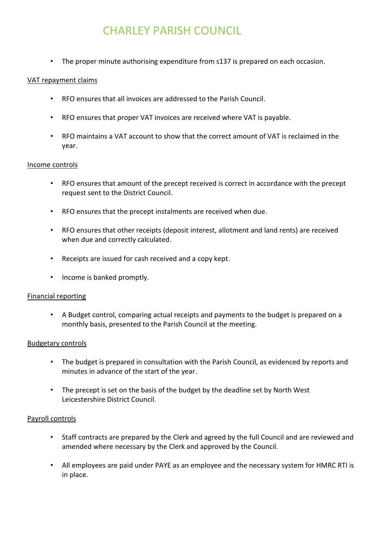• The proper minute authorising expenditure from s137 is prepared on each occasion.

#### VAT repayment claims

- RFO ensures that all invoices are addressed to the Parish Council.
- RFO ensures that proper VAT invoices are received where VAT is payable.
- RFO maintains a VAT account to show that the correct amount of VAT is reclaimed in the year.

#### Income controls

- RFO ensures that amount of the precept received is correct in accordance with the precept request sent to the District Council.
- RFO ensures that the precept instalments are received when due.
- RFO ensures that other receipts (deposit interest, allotment and land rents) are received when due and correctly calculated.
- Receipts are issued for cash received and a copy kept.
- Income is banked promptly.

#### Financial reporting

• A Budget control, comparing actual receipts and payments to the budget is prepared on a monthly basis, presented to the Parish Council at the meeting.

#### Budgetary controls

- The budget is prepared in consultation with the Parish Council, as evidenced by reports and minutes in advance of the start of the year.
- The precept is set on the basis of the budget by the deadline set by North West Leicestershire District Council.

#### Payroll controls

- Staff contracts are prepared by the Clerk and agreed by the full Council and are reviewed and amended where necessary by the Clerk and approved by the Council.
- All employees are paid under PAYE as an employee and the necessary system for HMRC RTI is in place.